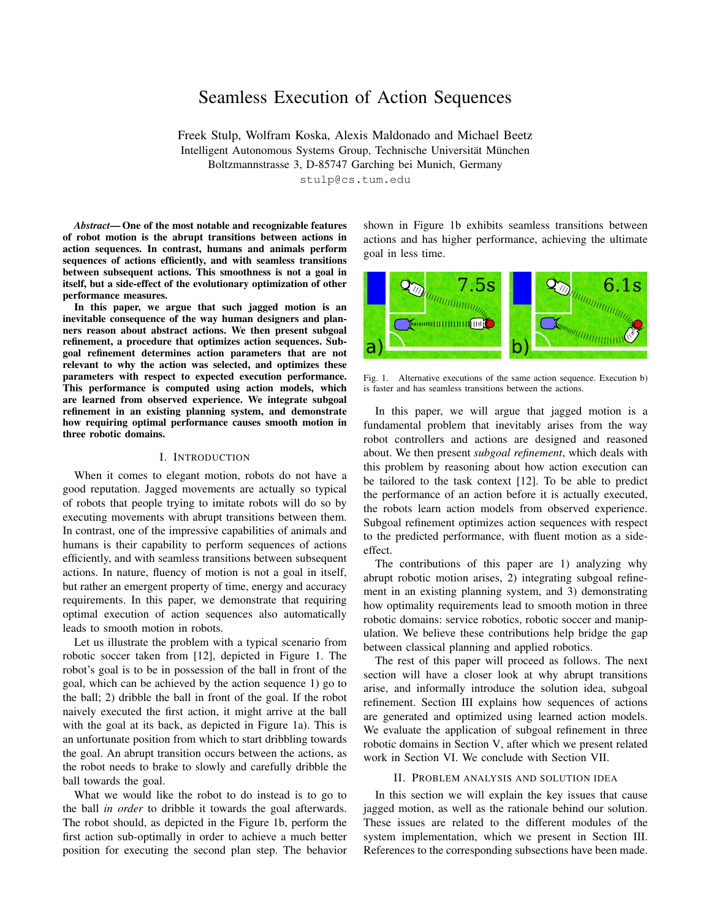# Seamless Execution of Action Sequences

Freek Stulp, Wolfram Koska, Alexis Maldonado and Michael Beetz Intelligent Autonomous Systems Group, Technische Universität München Boltzmannstrasse 3, D-85747 Garching bei Munich, Germany

stulp@cs.tum.edu

*Abstract*— One of the most notable and recognizable features of robot motion is the abrupt transitions between actions in action sequences. In contrast, humans and animals perform sequences of actions efficiently, and with seamless transitions between subsequent actions. This smoothness is not a goal in itself, but a side-effect of the evolutionary optimization of other performance measures.

In this paper, we argue that such jagged motion is an inevitable consequence of the way human designers and planners reason about abstract actions. We then present subgoal refinement, a procedure that optimizes action sequences. Subgoal refinement determines action parameters that are not relevant to why the action was selected, and optimizes these parameters with respect to expected execution performance. This performance is computed using action models, which are learned from observed experience. We integrate subgoal refinement in an existing planning system, and demonstrate how requiring optimal performance causes smooth motion in three robotic domains.

## I. INTRODUCTION

When it comes to elegant motion, robots do not have a good reputation. Jagged movements are actually so typical of robots that people trying to imitate robots will do so by executing movements with abrupt transitions between them. In contrast, one of the impressive capabilities of animals and humans is their capability to perform sequences of actions efficiently, and with seamless transitions between subsequent actions. In nature, fluency of motion is not a goal in itself, but rather an emergent property of time, energy and accuracy requirements. In this paper, we demonstrate that requiring optimal execution of action sequences also automatically leads to smooth motion in robots.

Let us illustrate the problem with a typical scenario from robotic soccer taken from [12], depicted in Figure 1. The robot's goal is to be in possession of the ball in front of the goal, which can be achieved by the action sequence 1) go to the ball; 2) dribble the ball in front of the goal. If the robot naively executed the first action, it might arrive at the ball with the goal at its back, as depicted in Figure 1a). This is an unfortunate position from which to start dribbling towards the goal. An abrupt transition occurs between the actions, as the robot needs to brake to slowly and carefully dribble the ball towards the goal.

What we would like the robot to do instead is to go to the ball *in order* to dribble it towards the goal afterwards. The robot should, as depicted in the Figure 1b, perform the first action sub-optimally in order to achieve a much better position for executing the second plan step. The behavior

shown in Figure 1b exhibits seamless transitions between actions and has higher performance, achieving the ultimate goal in less time.



Fig. 1. Alternative executions of the same action sequence. Execution b) is faster and has seamless transitions between the actions.

In this paper, we will argue that jagged motion is a fundamental problem that inevitably arises from the way robot controllers and actions are designed and reasoned about. We then present *subgoal refinement*, which deals with this problem by reasoning about how action execution can be tailored to the task context [12]. To be able to predict the performance of an action before it is actually executed, the robots learn action models from observed experience. Subgoal refinement optimizes action sequences with respect to the predicted performance, with fluent motion as a sideeffect.

The contributions of this paper are 1) analyzing why abrupt robotic motion arises, 2) integrating subgoal refinement in an existing planning system, and 3) demonstrating how optimality requirements lead to smooth motion in three robotic domains: service robotics, robotic soccer and manipulation. We believe these contributions help bridge the gap between classical planning and applied robotics.

The rest of this paper will proceed as follows. The next section will have a closer look at why abrupt transitions arise, and informally introduce the solution idea, subgoal refinement. Section III explains how sequences of actions are generated and optimized using learned action models. We evaluate the application of subgoal refinement in three robotic domains in Section V, after which we present related work in Section VI. We conclude with Section VII.

#### II. PROBLEM ANALYSIS AND SOLUTION IDEA

In this section we will explain the key issues that cause jagged motion, as well as the rationale behind our solution. These issues are related to the different modules of the system implementation, which we present in Section III. References to the corresponding subsections have been made.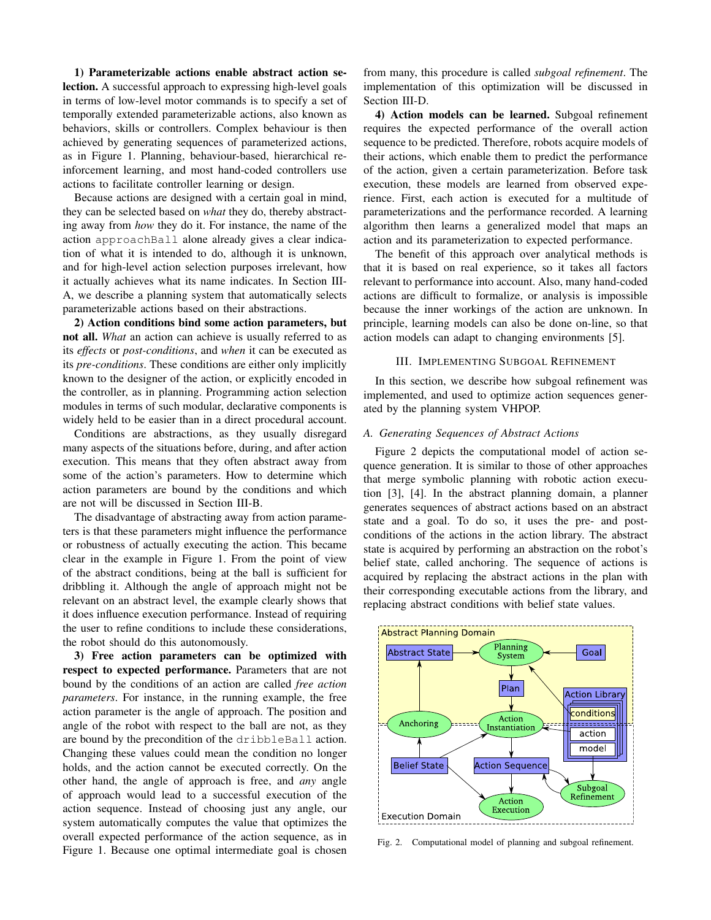1) Parameterizable actions enable abstract action selection. A successful approach to expressing high-level goals in terms of low-level motor commands is to specify a set of temporally extended parameterizable actions, also known as behaviors, skills or controllers. Complex behaviour is then achieved by generating sequences of parameterized actions, as in Figure 1. Planning, behaviour-based, hierarchical reinforcement learning, and most hand-coded controllers use actions to facilitate controller learning or design.

Because actions are designed with a certain goal in mind, they can be selected based on *what* they do, thereby abstracting away from *how* they do it. For instance, the name of the action approachBall alone already gives a clear indication of what it is intended to do, although it is unknown, and for high-level action selection purposes irrelevant, how it actually achieves what its name indicates. In Section III-A, we describe a planning system that automatically selects parameterizable actions based on their abstractions.

2) Action conditions bind some action parameters, but not all. *What* an action can achieve is usually referred to as its *effects* or *post-conditions*, and *when* it can be executed as its *pre-conditions*. These conditions are either only implicitly known to the designer of the action, or explicitly encoded in the controller, as in planning. Programming action selection modules in terms of such modular, declarative components is widely held to be easier than in a direct procedural account.

Conditions are abstractions, as they usually disregard many aspects of the situations before, during, and after action execution. This means that they often abstract away from some of the action's parameters. How to determine which action parameters are bound by the conditions and which are not will be discussed in Section III-B.

The disadvantage of abstracting away from action parameters is that these parameters might influence the performance or robustness of actually executing the action. This became clear in the example in Figure 1. From the point of view of the abstract conditions, being at the ball is sufficient for dribbling it. Although the angle of approach might not be relevant on an abstract level, the example clearly shows that it does influence execution performance. Instead of requiring the user to refine conditions to include these considerations, the robot should do this autonomously.

3) Free action parameters can be optimized with respect to expected performance. Parameters that are not bound by the conditions of an action are called *free action parameters*. For instance, in the running example, the free action parameter is the angle of approach. The position and angle of the robot with respect to the ball are not, as they are bound by the precondition of the dribbleBall action. Changing these values could mean the condition no longer holds, and the action cannot be executed correctly. On the other hand, the angle of approach is free, and *any* angle of approach would lead to a successful execution of the action sequence. Instead of choosing just any angle, our system automatically computes the value that optimizes the overall expected performance of the action sequence, as in Figure 1. Because one optimal intermediate goal is chosen

from many, this procedure is called *subgoal refinement*. The implementation of this optimization will be discussed in Section III-D.

4) Action models can be learned. Subgoal refinement requires the expected performance of the overall action sequence to be predicted. Therefore, robots acquire models of their actions, which enable them to predict the performance of the action, given a certain parameterization. Before task execution, these models are learned from observed experience. First, each action is executed for a multitude of parameterizations and the performance recorded. A learning algorithm then learns a generalized model that maps an action and its parameterization to expected performance.

The benefit of this approach over analytical methods is that it is based on real experience, so it takes all factors relevant to performance into account. Also, many hand-coded actions are difficult to formalize, or analysis is impossible because the inner workings of the action are unknown. In principle, learning models can also be done on-line, so that action models can adapt to changing environments [5].

#### III. IMPLEMENTING SUBGOAL REFINEMENT

In this section, we describe how subgoal refinement was implemented, and used to optimize action sequences generated by the planning system VHPOP.

## *A. Generating Sequences of Abstract Actions*

Figure 2 depicts the computational model of action sequence generation. It is similar to those of other approaches that merge symbolic planning with robotic action execution [3], [4]. In the abstract planning domain, a planner generates sequences of abstract actions based on an abstract state and a goal. To do so, it uses the pre- and postconditions of the actions in the action library. The abstract state is acquired by performing an abstraction on the robot's belief state, called anchoring. The sequence of actions is acquired by replacing the abstract actions in the plan with their corresponding executable actions from the library, and replacing abstract conditions with belief state values.



Fig. 2. Computational model of planning and subgoal refinement.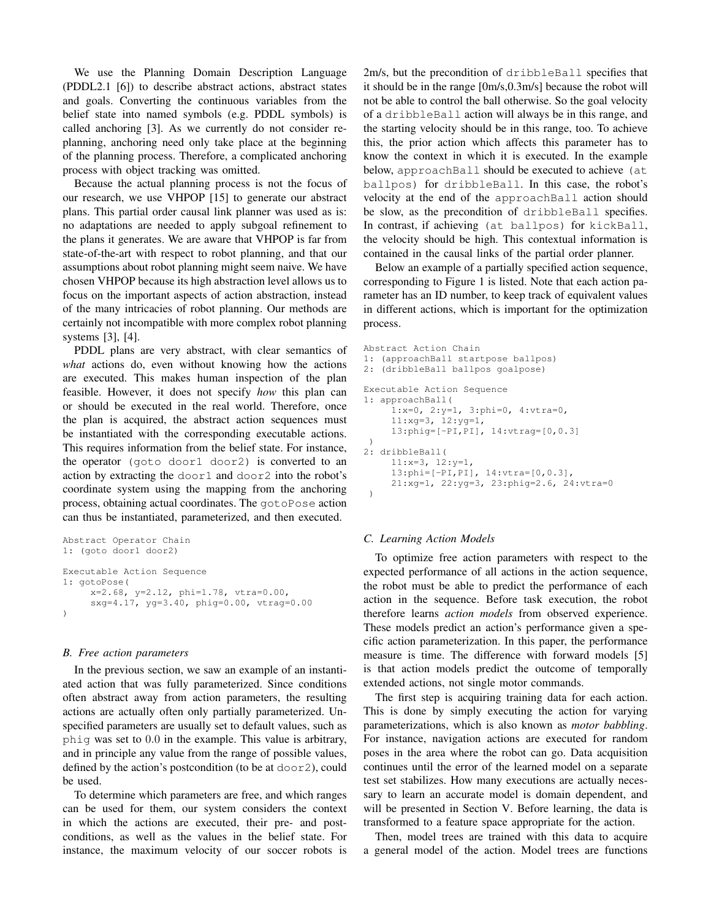We use the Planning Domain Description Language (PDDL2.1 [6]) to describe abstract actions, abstract states and goals. Converting the continuous variables from the belief state into named symbols (e.g. PDDL symbols) is called anchoring [3]. As we currently do not consider replanning, anchoring need only take place at the beginning of the planning process. Therefore, a complicated anchoring process with object tracking was omitted.

Because the actual planning process is not the focus of our research, we use VHPOP [15] to generate our abstract plans. This partial order causal link planner was used as is: no adaptations are needed to apply subgoal refinement to the plans it generates. We are aware that VHPOP is far from state-of-the-art with respect to robot planning, and that our assumptions about robot planning might seem naive. We have chosen VHPOP because its high abstraction level allows us to focus on the important aspects of action abstraction, instead of the many intricacies of robot planning. Our methods are certainly not incompatible with more complex robot planning systems [3], [4].

PDDL plans are very abstract, with clear semantics of *what* actions do, even without knowing how the actions are executed. This makes human inspection of the plan feasible. However, it does not specify *how* this plan can or should be executed in the real world. Therefore, once the plan is acquired, the abstract action sequences must be instantiated with the corresponding executable actions. This requires information from the belief state. For instance, the operator (goto door1 door2) is converted to an action by extracting the door1 and door2 into the robot's coordinate system using the mapping from the anchoring process, obtaining actual coordinates. The gotoPose action can thus be instantiated, parameterized, and then executed.

```
Abstract Operator Chain
1: (goto door1 door2)
Executable Action Sequence
1: gotoPose(
     x=2.68, y=2.12, phi=1.78, vtra=0.00,
     sxg=4.17, yg=3.40, phig=0.00, vtrag=0.00
)
```
## *B. Free action parameters*

In the previous section, we saw an example of an instantiated action that was fully parameterized. Since conditions often abstract away from action parameters, the resulting actions are actually often only partially parameterized. Unspecified parameters are usually set to default values, such as phig was set to 0.0 in the example. This value is arbitrary, and in principle any value from the range of possible values, defined by the action's postcondition (to be at door2), could be used.

To determine which parameters are free, and which ranges can be used for them, our system considers the context in which the actions are executed, their pre- and postconditions, as well as the values in the belief state. For instance, the maximum velocity of our soccer robots is 2m/s, but the precondition of dribbleBall specifies that it should be in the range [0m/s,0.3m/s] because the robot will not be able to control the ball otherwise. So the goal velocity of a dribbleBall action will always be in this range, and the starting velocity should be in this range, too. To achieve this, the prior action which affects this parameter has to know the context in which it is executed. In the example below, approachBall should be executed to achieve (at ballpos) for dribbleBall. In this case, the robot's velocity at the end of the approachBall action should be slow, as the precondition of dribbleBall specifies. In contrast, if achieving (at ballpos) for kickBall, the velocity should be high. This contextual information is contained in the causal links of the partial order planner.

Below an example of a partially specified action sequence, corresponding to Figure 1 is listed. Note that each action parameter has an ID number, to keep track of equivalent values in different actions, which is important for the optimization process.

```
Abstract Action Chain
1: (approachBall startpose ballpos)
2: (dribbleBall ballpos goalpose)
Executable Action Sequence
1: approachBall(
     1:x=0, 2:y=1, 3:phi=0, 4:vtra=0,
     11:xq=3, 12:yq=1,13:phig=[-PI,PI], 14:vtrag=[0,0.3]
 )
2: dribbleBall(
     11:x=3, 12:y=1,
     13:phi=[-PI,PI], 14:vtra=[0,0.3],
     21:xg=1, 22:yg=3, 23:phig=2.6, 24:vtra=0
 )
```
## *C. Learning Action Models*

To optimize free action parameters with respect to the expected performance of all actions in the action sequence, the robot must be able to predict the performance of each action in the sequence. Before task execution, the robot therefore learns *action models* from observed experience. These models predict an action's performance given a specific action parameterization. In this paper, the performance measure is time. The difference with forward models [5] is that action models predict the outcome of temporally extended actions, not single motor commands.

The first step is acquiring training data for each action. This is done by simply executing the action for varying parameterizations, which is also known as *motor babbling*. For instance, navigation actions are executed for random poses in the area where the robot can go. Data acquisition continues until the error of the learned model on a separate test set stabilizes. How many executions are actually necessary to learn an accurate model is domain dependent, and will be presented in Section V. Before learning, the data is transformed to a feature space appropriate for the action.

Then, model trees are trained with this data to acquire a general model of the action. Model trees are functions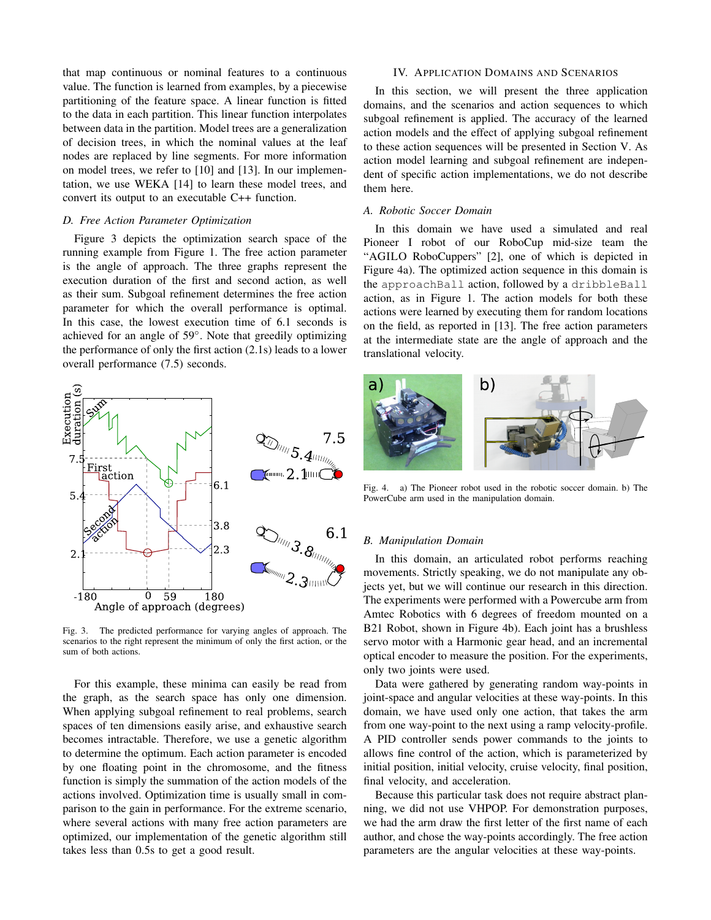that map continuous or nominal features to a continuous value. The function is learned from examples, by a piecewise partitioning of the feature space. A linear function is fitted to the data in each partition. This linear function interpolates between data in the partition. Model trees are a generalization of decision trees, in which the nominal values at the leaf nodes are replaced by line segments. For more information on model trees, we refer to [10] and [13]. In our implementation, we use WEKA [14] to learn these model trees, and convert its output to an executable C++ function.

#### *D. Free Action Parameter Optimization*

Figure 3 depicts the optimization search space of the running example from Figure 1. The free action parameter is the angle of approach. The three graphs represent the execution duration of the first and second action, as well as their sum. Subgoal refinement determines the free action parameter for which the overall performance is optimal. In this case, the lowest execution time of 6.1 seconds is achieved for an angle of 59◦ . Note that greedily optimizing the performance of only the first action (2.1s) leads to a lower overall performance (7.5) seconds.



Fig. 3. The predicted performance for varying angles of approach. The scenarios to the right represent the minimum of only the first action, or the sum of both actions.

For this example, these minima can easily be read from the graph, as the search space has only one dimension. When applying subgoal refinement to real problems, search spaces of ten dimensions easily arise, and exhaustive search becomes intractable. Therefore, we use a genetic algorithm to determine the optimum. Each action parameter is encoded by one floating point in the chromosome, and the fitness function is simply the summation of the action models of the actions involved. Optimization time is usually small in comparison to the gain in performance. For the extreme scenario, where several actions with many free action parameters are optimized, our implementation of the genetic algorithm still takes less than 0.5s to get a good result.

### IV. APPLICATION DOMAINS AND SCENARIOS

In this section, we will present the three application domains, and the scenarios and action sequences to which subgoal refinement is applied. The accuracy of the learned action models and the effect of applying subgoal refinement to these action sequences will be presented in Section V. As action model learning and subgoal refinement are independent of specific action implementations, we do not describe them here.

## *A. Robotic Soccer Domain*

In this domain we have used a simulated and real Pioneer I robot of our RoboCup mid-size team the "AGILO RoboCuppers" [2], one of which is depicted in Figure 4a). The optimized action sequence in this domain is the approachBall action, followed by a dribbleBall action, as in Figure 1. The action models for both these actions were learned by executing them for random locations on the field, as reported in [13]. The free action parameters at the intermediate state are the angle of approach and the translational velocity.



Fig. 4. a) The Pioneer robot used in the robotic soccer domain. b) The PowerCube arm used in the manipulation domain.

## *B. Manipulation Domain*

In this domain, an articulated robot performs reaching movements. Strictly speaking, we do not manipulate any objects yet, but we will continue our research in this direction. The experiments were performed with a Powercube arm from Amtec Robotics with 6 degrees of freedom mounted on a B21 Robot, shown in Figure 4b). Each joint has a brushless servo motor with a Harmonic gear head, and an incremental optical encoder to measure the position. For the experiments, only two joints were used.

Data were gathered by generating random way-points in joint-space and angular velocities at these way-points. In this domain, we have used only one action, that takes the arm from one way-point to the next using a ramp velocity-profile. A PID controller sends power commands to the joints to allows fine control of the action, which is parameterized by initial position, initial velocity, cruise velocity, final position, final velocity, and acceleration.

Because this particular task does not require abstract planning, we did not use VHPOP. For demonstration purposes, we had the arm draw the first letter of the first name of each author, and chose the way-points accordingly. The free action parameters are the angular velocities at these way-points.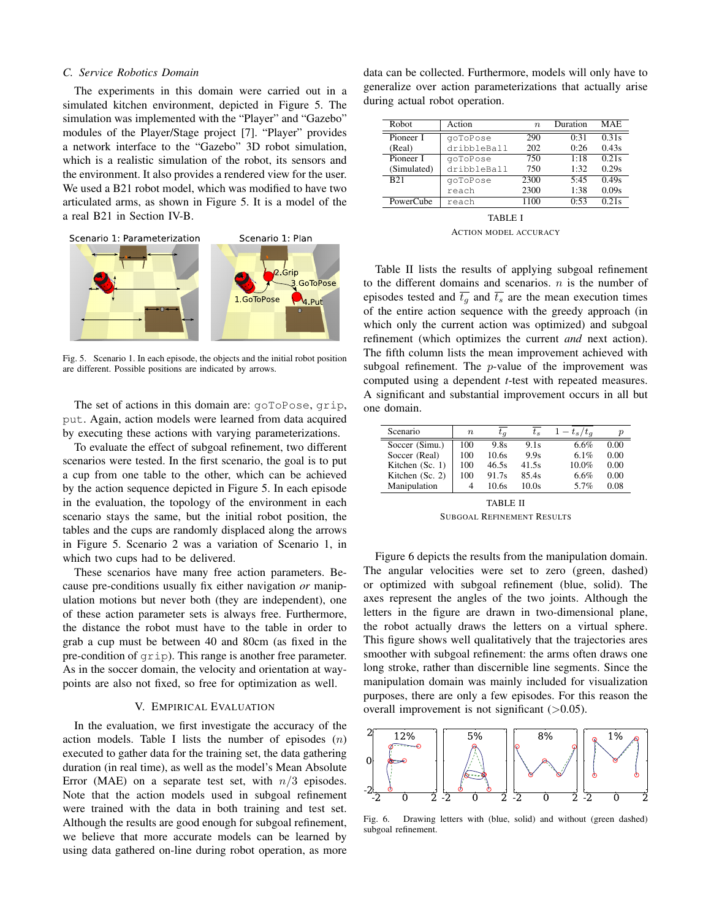#### *C. Service Robotics Domain*

The experiments in this domain were carried out in a simulated kitchen environment, depicted in Figure 5. The simulation was implemented with the "Player" and "Gazebo" modules of the Player/Stage project [7]. "Player" provides a network interface to the "Gazebo" 3D robot simulation, which is a realistic simulation of the robot, its sensors and the environment. It also provides a rendered view for the user. We used a B21 robot model, which was modified to have two articulated arms, as shown in Figure 5. It is a model of the a real B21 in Section IV-B.



Fig. 5. Scenario 1. In each episode, the objects and the initial robot position are different. Possible positions are indicated by arrows.

The set of actions in this domain are:  $q$ <sup>oToPose,  $q$ rip,</sup> put. Again, action models were learned from data acquired by executing these actions with varying parameterizations.

To evaluate the effect of subgoal refinement, two different scenarios were tested. In the first scenario, the goal is to put a cup from one table to the other, which can be achieved by the action sequence depicted in Figure 5. In each episode in the evaluation, the topology of the environment in each scenario stays the same, but the initial robot position, the tables and the cups are randomly displaced along the arrows in Figure 5. Scenario 2 was a variation of Scenario 1, in which two cups had to be delivered.

These scenarios have many free action parameters. Because pre-conditions usually fix either navigation *or* manipulation motions but never both (they are independent), one of these action parameter sets is always free. Furthermore, the distance the robot must have to the table in order to grab a cup must be between 40 and 80cm (as fixed in the pre-condition of grip). This range is another free parameter. As in the soccer domain, the velocity and orientation at waypoints are also not fixed, so free for optimization as well.

## V. EMPIRICAL EVALUATION

In the evaluation, we first investigate the accuracy of the action models. Table I lists the number of episodes  $(n)$ executed to gather data for the training set, the data gathering duration (in real time), as well as the model's Mean Absolute Error (MAE) on a separate test set, with  $n/3$  episodes. Note that the action models used in subgoal refinement were trained with the data in both training and test set. Although the results are good enough for subgoal refinement, we believe that more accurate models can be learned by using data gathered on-line during robot operation, as more data can be collected. Furthermore, models will only have to generalize over action parameterizations that actually arise during actual robot operation.

| Robot       | Action      | $\boldsymbol{n}$ | Duration | <b>MAE</b>         |
|-------------|-------------|------------------|----------|--------------------|
| Pioneer I   | goToPose    | 290              | 0.31     | 0.31s              |
| (Real)      | dribbleBall | 202              | 0:26     | 0.43s              |
| Pioneer I   | goToPose    | 750              | 1:18     | 0.21s              |
| (Simulated) | dribbleBall | 750              | 1:32     | 0.29s              |
| <b>B21</b>  | goToPose    | 2300             | 5:45     | 0.49s              |
|             | reach       | 2300             | 1:38     | 0.09s              |
| PowerCube   | reach       | 1100             | 0.53     | $\overline{0.21s}$ |
|             |             |                  |          |                    |

TABLE I ACTION MODEL ACCURACY

Table II lists the results of applying subgoal refinement to the different domains and scenarios.  $n$  is the number of episodes tested and  $\overline{t_q}$  and  $\overline{t_s}$  are the mean execution times of the entire action sequence with the greedy approach (in which only the current action was optimized) and subgoal refinement (which optimizes the current *and* next action). The fifth column lists the mean improvement achieved with subgoal refinement. The p-value of the improvement was computed using a dependent *t*-test with repeated measures. A significant and substantial improvement occurs in all but one domain.

| Scenario        | $\, n$ | $t_{\it \alpha}$ | t s   | $-t_s/t_a$ | р    |
|-----------------|--------|------------------|-------|------------|------|
| Soccer (Simu.)  | 100    | 9.8s             | 9.1s  | 6.6%       | 0.00 |
| Soccer (Real)   | 100    | 10.6s            | 9.9s  | 6.1%       | 0.00 |
| Kitchen (Sc. 1) | 100    | 46.5s            | 41.5s | 10.0%      | 0.00 |
| Kitchen (Sc. 2) | 100    | 91.7s            | 85.4s | 6.6%       | 0.00 |
| Manipulation    |        | 10.6s            | 10.0s | 5.7%       | 0.08 |

TABLE II SUBGOAL REFINEMENT RESULTS

Figure 6 depicts the results from the manipulation domain. The angular velocities were set to zero (green, dashed) or optimized with subgoal refinement (blue, solid). The axes represent the angles of the two joints. Although the letters in the figure are drawn in two-dimensional plane, the robot actually draws the letters on a virtual sphere. This figure shows well qualitatively that the trajectories ares smoother with subgoal refinement: the arms often draws one long stroke, rather than discernible line segments. Since the manipulation domain was mainly included for visualization purposes, there are only a few episodes. For this reason the overall improvement is not significant  $(>0.05)$ .



Fig. 6. Drawing letters with (blue, solid) and without (green dashed) subgoal refinement.